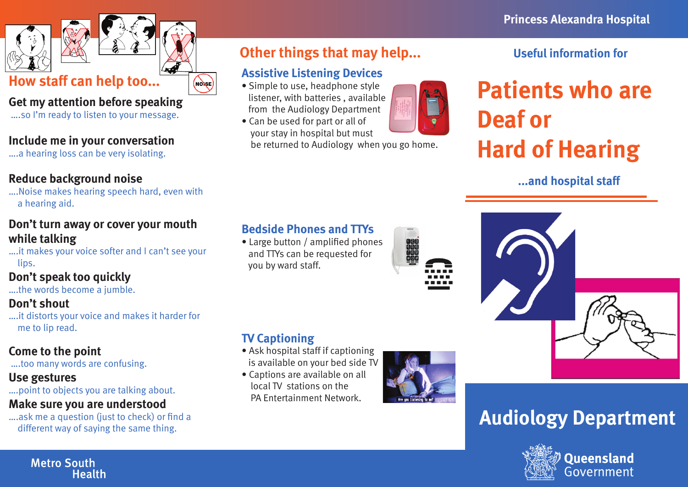

# **How staff can help too...**

#### **Get my attention before speaking**

….so I'm ready to listen to your message.

#### **Include me in your conversation**

….a hearing loss can be very isolating.

#### **Reduce background noise**

….Noise makes hearing speech hard, even with a hearing aid.

#### **Don't turn away or cover your mouth while talking**

….it makes your voice softer and I can't see your lips.

#### **Don't speak too quickly**

….the words become a jumble.

#### **Don't shout**

….it distorts your voice and makes it harder for me to lip read.

#### **Come to the point**

….too many words are confusing.

#### **Use gestures**

….point to objects you are talking about.

#### **Make sure you are understood**

….ask me a question (just to check) or find a different way of saying the same thing.

#### **Other things that may help...**

#### **Assistive Listening Devices**

(NONSE)

- Simple to use, headphone style listener, with batteries , available from the Audiology Department
- Can be used for part or all of your stay in hospital but must be returned to Audiology when you go home.



#### **Useful information for**

# **Patients who are Deaf or Hard of Hearing**

#### **...and hospital staff**

#### **Bedside Phones and TTYs**

• Large button / amplified phones and TTYs can be requested for you by ward staff.

• Ask hospital staff if captioning is available on your bed side TV • Captions are available on all local TV stations on the PA Entertainment Network.

**TV Captioning**

| <b>TERRITE</b><br>$\begin{minipage}{0.5\textwidth} \begin{tabular}{ c c } \hline \multicolumn{1}{ c }{\textbf{1}} & \multicolumn{1}{ c }{\textbf{2}} & \multicolumn{1}{ c }{\textbf{3}} & \multicolumn{1}{ c }{\textbf{4}} & \multicolumn{1}{ c }{\textbf{5}} & \multicolumn{1}{ c }{\textbf{6}} & \multicolumn{1}{ c }{\textbf{7}} & \multicolumn{1}{ c }{\textbf{8}} & \multicolumn{1}{ c }{\textbf{9}} & \multicolumn{1}{ c }{\textbf{1}} & \multicolumn{1}{ c }{$<br> |                                 |
|---------------------------------------------------------------------------------------------------------------------------------------------------------------------------------------------------------------------------------------------------------------------------------------------------------------------------------------------------------------------------------------------------------------------------------------------------------------------------|---------------------------------|
|                                                                                                                                                                                                                                                                                                                                                                                                                                                                           |                                 |
|                                                                                                                                                                                                                                                                                                                                                                                                                                                                           |                                 |
|                                                                                                                                                                                                                                                                                                                                                                                                                                                                           |                                 |
| ---                                                                                                                                                                                                                                                                                                                                                                                                                                                                       |                                 |
|                                                                                                                                                                                                                                                                                                                                                                                                                                                                           | 3 O C<br><b>Service Service</b> |
|                                                                                                                                                                                                                                                                                                                                                                                                                                                                           |                                 |
|                                                                                                                                                                                                                                                                                                                                                                                                                                                                           |                                 |



## **Audiology Department**



#### **Metro South Health**